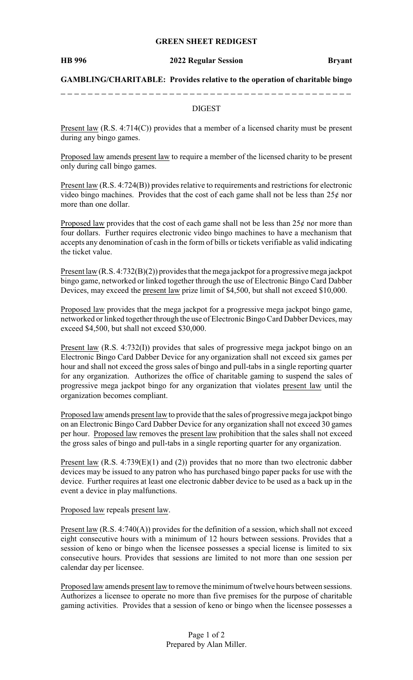## **GREEN SHEET REDIGEST**

#### **HB 996 2022 Regular Session Bryant**

**GAMBLING/CHARITABLE: Provides relative to the operation of charitable bingo**

## DIGEST

Present law (R.S. 4:714(C)) provides that a member of a licensed charity must be present during any bingo games.

Proposed law amends present law to require a member of the licensed charity to be present only during call bingo games.

Present law (R.S. 4:724(B)) provides relative to requirements and restrictions for electronic video bingo machines. Provides that the cost of each game shall not be less than  $25¢$  nor more than one dollar.

Proposed law provides that the cost of each game shall not be less than  $25¢$  nor more than four dollars. Further requires electronic video bingo machines to have a mechanism that accepts any denomination of cash in the form of bills or tickets verifiable as valid indicating the ticket value.

Present law (R.S. 4:732(B)(2)) provides that the mega jackpot for a progressive mega jackpot bingo game, networked or linked together through the use of Electronic Bingo Card Dabber Devices, may exceed the present law prize limit of \$4,500, but shall not exceed \$10,000.

Proposed law provides that the mega jackpot for a progressive mega jackpot bingo game, networked or linked together through the use of Electronic Bingo Card Dabber Devices, may exceed \$4,500, but shall not exceed \$30,000.

Present law (R.S. 4:732(I)) provides that sales of progressive mega jackpot bingo on an Electronic Bingo Card Dabber Device for any organization shall not exceed six games per hour and shall not exceed the gross sales of bingo and pull-tabs in a single reporting quarter for any organization. Authorizes the office of charitable gaming to suspend the sales of progressive mega jackpot bingo for any organization that violates present law until the organization becomes compliant.

Proposed law amends present law to provide that the sales of progressive mega jackpot bingo on an Electronic Bingo Card Dabber Device for any organization shall not exceed 30 games per hour. Proposed law removes the present law prohibition that the sales shall not exceed the gross sales of bingo and pull-tabs in a single reporting quarter for any organization.

Present law (R.S. 4:739(E)(1) and (2)) provides that no more than two electronic dabber devices may be issued to any patron who has purchased bingo paper packs for use with the device. Further requires at least one electronic dabber device to be used as a back up in the event a device in play malfunctions.

Proposed law repeals present law.

Present law (R.S. 4:740(A)) provides for the definition of a session, which shall not exceed eight consecutive hours with a minimum of 12 hours between sessions. Provides that a session of keno or bingo when the licensee possesses a special license is limited to six consecutive hours. Provides that sessions are limited to not more than one session per calendar day per licensee.

Proposed law amends present law to remove the minimum of twelve hours between sessions. Authorizes a licensee to operate no more than five premises for the purpose of charitable gaming activities. Provides that a session of keno or bingo when the licensee possesses a